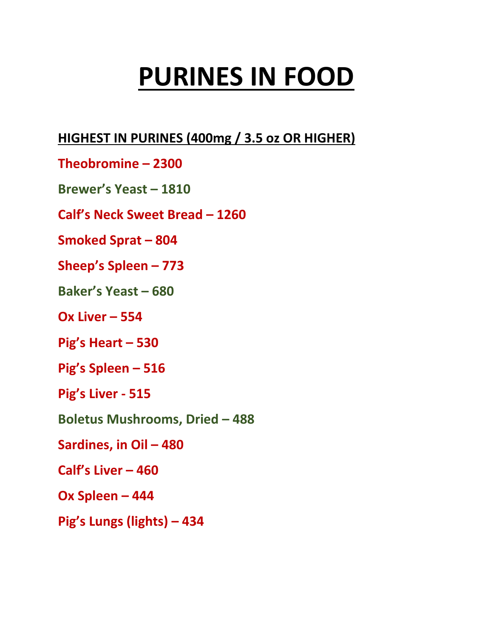# **PURINES IN FOOD**

## **HIGHEST IN PURINES (400mg / 3.5 oz OR HIGHER)**

- **Theobromine – 2300**
- **Brewer's Yeast – 1810**
- **Calf's Neck Sweet Bread – 1260**
- **Smoked Sprat – 804**
- **Sheep's Spleen – 773**
- **Baker's Yeast – 680**
- **Ox Liver – 554**
- **Pig's Heart – 530**
- **Pig's Spleen – 516**
- **Pig's Liver - 515**
- **Boletus Mushrooms, Dried – 488**
- **Sardines, in Oil – 480**
- **Calf's Liver – 460**
- **Ox Spleen – 444**
- **Pig's Lungs (lights) – 434**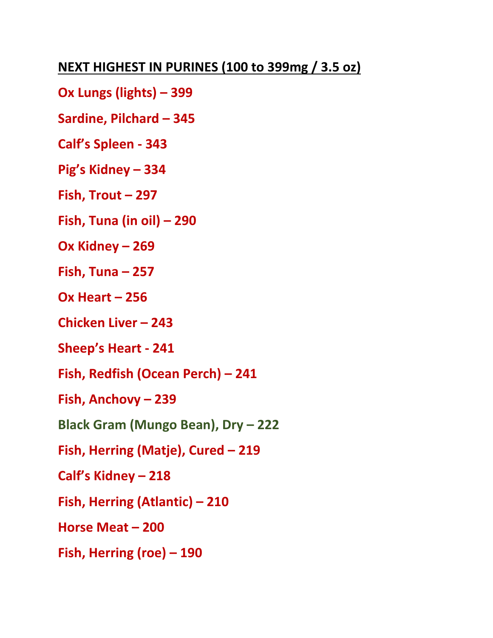## **NEXT HIGHEST IN PURINES (100 to 399mg / 3.5 oz)**

- **Ox Lungs (lights) – 399**
- **Sardine, Pilchard – 345**
- **Calf's Spleen - 343**
- **Pig's Kidney – 334**
- **Fish, Trout – 297**
- **Fish, Tuna (in oil) – 290**
- **Ox Kidney – 269**
- **Fish, Tuna – 257**
- **Ox Heart – 256**
- **Chicken Liver – 243**
- **Sheep's Heart - 241**
- **Fish, Redfish (Ocean Perch) – 241**
- **Fish, Anchovy – 239**
- **Black Gram (Mungo Bean), Dry – 222**
- **Fish, Herring (Matje), Cured – 219**
- **Calf's Kidney – 218**
- **Fish, Herring (Atlantic) – 210**
- **Horse Meat – 200**
- **Fish, Herring (roe) – 190**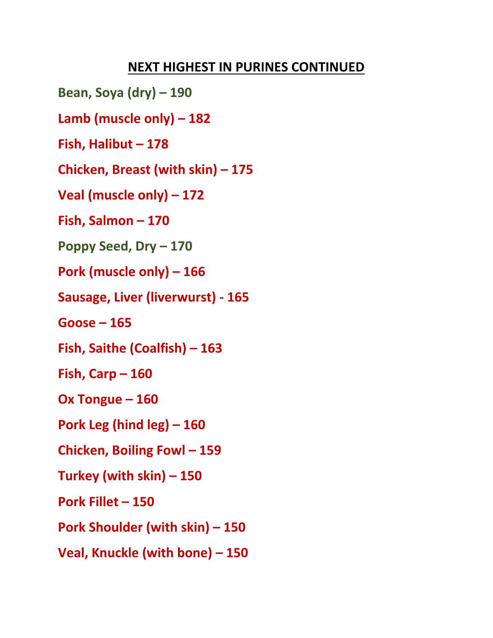**Bean, Soya (dry) – 190 Lamb (muscle only) – 182 Fish, Halibut – 178 Chicken, Breast (with skin) – 175 Veal (muscle only) – 172 Fish, Salmon – 170 Poppy Seed, Dry – 170 Pork (muscle only) – 166 Sausage, Liver (liverwurst) - 165 Goose – 165 Fish, Saithe (Coalfish) – 163 Fish, Carp – 160 Ox Tongue – 160 Pork Leg (hind leg) – 160 Chicken, Boiling Fowl – 159 Turkey (with skin) – 150 Pork Fillet – 150 Pork Shoulder (with skin) – 150 Veal, Knuckle (with bone) – 150**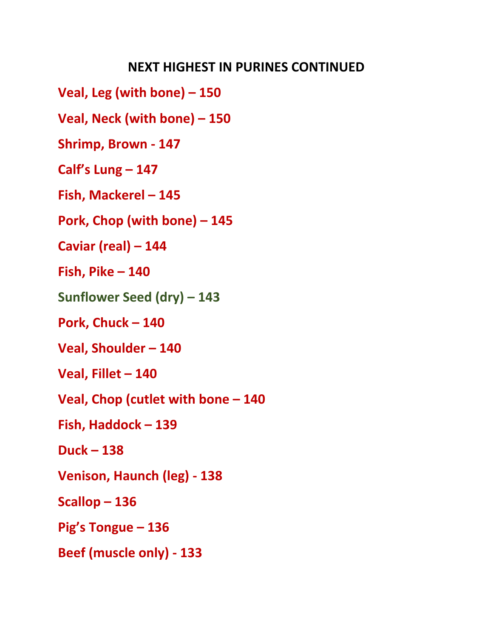**Veal, Leg (with bone) – 150 Veal, Neck (with bone) – 150 Shrimp, Brown - 147 Calf's Lung – 147 Fish, Mackerel – 145 Pork, Chop (with bone) – 145 Caviar (real) – 144 Fish, Pike – 140 Sunflower Seed (dry) – 143 Pork, Chuck – 140 Veal, Shoulder – 140 Veal, Fillet – 140 Veal, Chop (cutlet with bone – 140 Fish, Haddock – 139 Duck – 138 Venison, Haunch (leg) - 138 Scallop – 136 Pig's Tongue – 136 Beef (muscle only) - 133**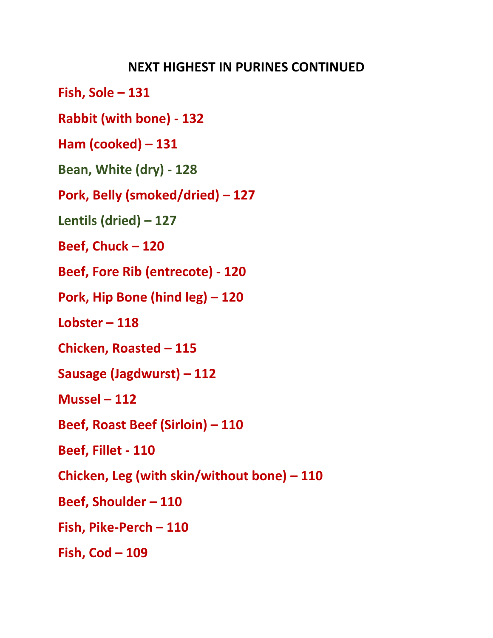**Fish, Sole – 131**

**Rabbit (with bone) - 132**

**Ham (cooked) – 131**

**Bean, White (dry) - 128**

**Pork, Belly (smoked/dried) – 127**

**Lentils (dried) – 127**

**Beef, Chuck – 120**

**Beef, Fore Rib (entrecote) - 120**

**Pork, Hip Bone (hind leg) – 120**

**Lobster – 118**

**Chicken, Roasted – 115**

**Sausage (Jagdwurst) – 112**

**Mussel – 112**

**Beef, Roast Beef (Sirloin) – 110**

**Beef, Fillet - 110**

**Chicken, Leg (with skin/without bone) – 110**

**Beef, Shoulder – 110**

**Fish, Pike-Perch – 110**

**Fish, Cod – 109**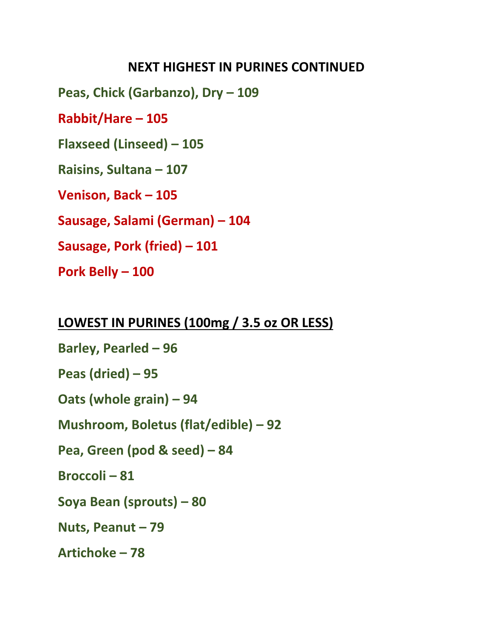**Peas, Chick (Garbanzo), Dry – 109**

**Rabbit/Hare – 105**

**Flaxseed (Linseed) – 105**

**Raisins, Sultana – 107**

**Venison, Back – 105**

**Sausage, Salami (German) – 104**

**Sausage, Pork (fried) – 101**

**Pork Belly – 100**

#### **LOWEST IN PURINES (100mg / 3.5 oz OR LESS)**

**Barley, Pearled – 96 Peas (dried) – 95 Oats (whole grain) – 94 Mushroom, Boletus (flat/edible) – 92 Pea, Green (pod & seed) – 84 Broccoli – 81 Soya Bean (sprouts) – 80 Nuts, Peanut – 79 Artichoke – 78**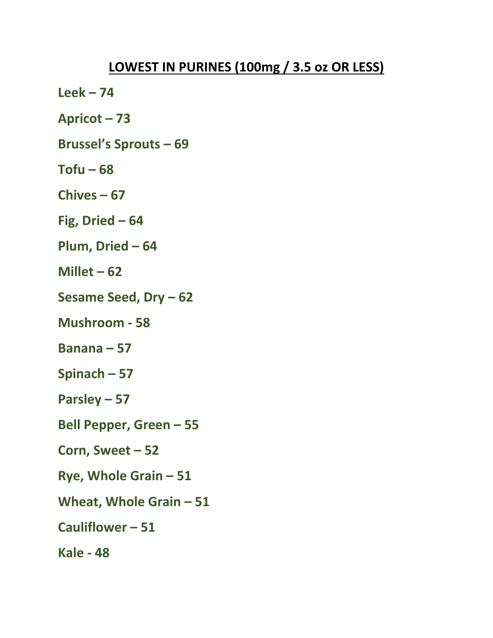- **Leek – 74**
- **Apricot – 73**
- **Brussel's Sprouts – 69**
- $Tofu 68$
- **Chives – 67**
- **Fig, Dried – 64**
- **Plum, Dried – 64**
- **Millet – 62**
- **Sesame Seed, Dry – 62**
- **Mushroom - 58**
- **Banana – 57**
- **Spinach – 57**
- **Parsley – 57**
- **Bell Pepper, Green – 55**
- **Corn, Sweet – 52**
- **Rye, Whole Grain – 51**
- **Wheat, Whole Grain – 51**
- **Cauliflower – 51**
- **Kale - 48**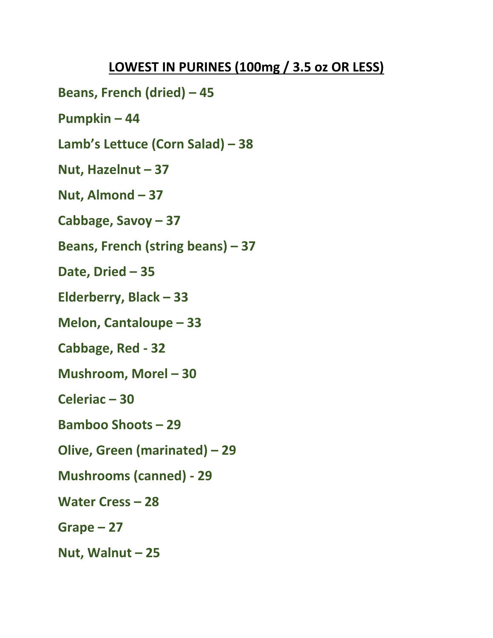**Beans, French (dried) – 45**

**Pumpkin – 44**

**Lamb's Lettuce (Corn Salad) – 38**

**Nut, Hazelnut – 37**

**Nut, Almond – 37**

**Cabbage, Savoy – 37**

**Beans, French (string beans) – 37**

**Date, Dried – 35**

**Elderberry, Black – 33**

**Melon, Cantaloupe – 33**

**Cabbage, Red - 32**

**Mushroom, Morel – 30**

**Celeriac – 30**

**Bamboo Shoots – 29**

**Olive, Green (marinated) – 29**

**Mushrooms (canned) - 29**

**Water Cress – 28**

**Grape – 27**

**Nut, Walnut – 25**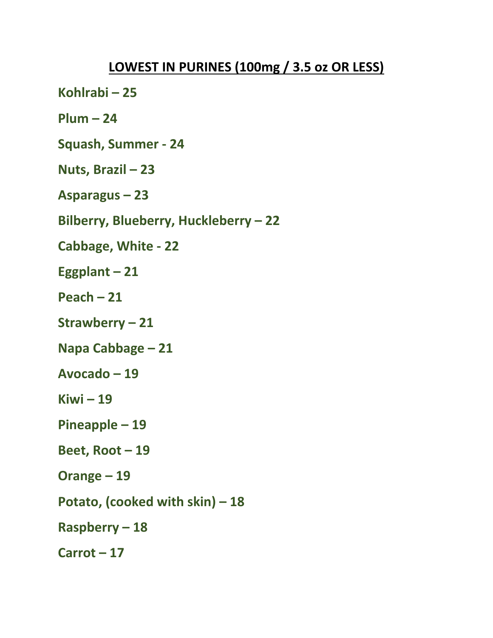- **Kohlrabi – 25**
- **Plum – 24**
- **Squash, Summer - 24**
- **Nuts, Brazil – 23**
- **Asparagus – 23**
- **Bilberry, Blueberry, Huckleberry – 22**
- **Cabbage, White - 22**
- **Eggplant – 21**
- **Peach – 21**
- **Strawberry – 21**
- **Napa Cabbage – 21**
- **Avocado – 19**
- **Kiwi – 19**
- **Pineapple – 19**
- **Beet, Root – 19**
- **Orange – 19**
- **Potato, (cooked with skin) – 18**
- **Raspberry – 18**
- **Carrot – 17**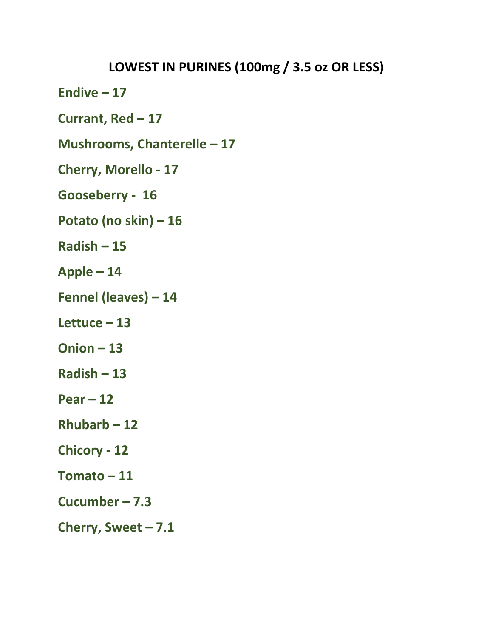- **Endive – 17**
- **Currant, Red – 17**
- **Mushrooms, Chanterelle – 17**
- **Cherry, Morello - 17**
- **Gooseberry 16**
- **Potato (no skin) – 16**
- **Radish – 15**
- **Apple – 14**
- **Fennel (leaves) – 14**
- **Lettuce – 13**
- **Onion – 13**
- **Radish – 13**
- **Pear – 12**
- **Rhubarb – 12**
- **Chicory - 12**
- **Tomato – 11**
- **Cucumber – 7.3**
- **Cherry, Sweet – 7.1**